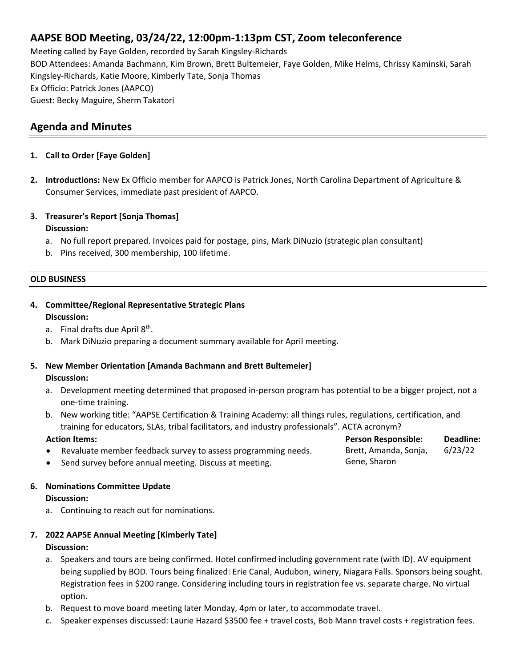# **AAPSE BOD Meeting, 03/24/22, 12:00pm-1:13pm CST, Zoom teleconference**

Meeting called by Faye Golden, recorded by Sarah Kingsley-Richards BOD Attendees: Amanda Bachmann, Kim Brown, Brett Bultemeier, Faye Golden, Mike Helms, Chrissy Kaminski, Sarah Kingsley-Richards, Katie Moore, Kimberly Tate, Sonja Thomas Ex Officio: Patrick Jones (AAPCO) Guest: Becky Maguire, Sherm Takatori

# **Agenda and Minutes**

## **1. Call to Order [Faye Golden]**

- **2. Introductions:** New Ex Officio member for AAPCO is Patrick Jones, North Carolina Department of Agriculture & Consumer Services, immediate past president of AAPCO.
- **3. Treasurer's Report [Sonja Thomas] Discussion:**
	- a. No full report prepared. Invoices paid for postage, pins, Mark DiNuzio (strategic plan consultant)
	- b. Pins received, 300 membership, 100 lifetime.

### **OLD BUSINESS**

- **4. Committee/Regional Representative Strategic Plans Discussion:**
	- a. Final drafts due April 8<sup>th</sup>.
	- b. Mark DiNuzio preparing a document summary available for April meeting.

### **5. New Member Orientation [Amanda Bachmann and Brett Bultemeier] Discussion:**

- a. Development meeting determined that proposed in-person program has potential to be a bigger project, not a one-time training.
- b. New working title: "AAPSE Certification & Training Academy: all things rules, regulations, certification, and training for educators, SLAs, tribal facilitators, and industry professionals". ACTA acronym?

| <b>Action Items:</b>                                          | <b>Person Responsible:</b> | Deadline: |
|---------------------------------------------------------------|----------------------------|-----------|
| Revaluate member feedback survey to assess programming needs. | Brett, Amanda, Sonja,      | 6/23/22   |
| Send survey before annual meeting. Discuss at meeting.        | Gene, Sharon               |           |

### **6. Nominations Committee Update**

### **Discussion:**

a. Continuing to reach out for nominations.

# **7. 2022 AAPSE Annual Meeting [Kimberly Tate]**

### **Discussion:**

- a. Speakers and tours are being confirmed. Hotel confirmed including government rate (with ID). AV equipment being supplied by BOD. Tours being finalized: Erie Canal, Audubon, winery, Niagara Falls. Sponsors being sought. Registration fees in \$200 range. Considering including tours in registration fee vs. separate charge. No virtual option.
- b. Request to move board meeting later Monday, 4pm or later, to accommodate travel.
- c. Speaker expenses discussed: Laurie Hazard \$3500 fee + travel costs, Bob Mann travel costs + registration fees.